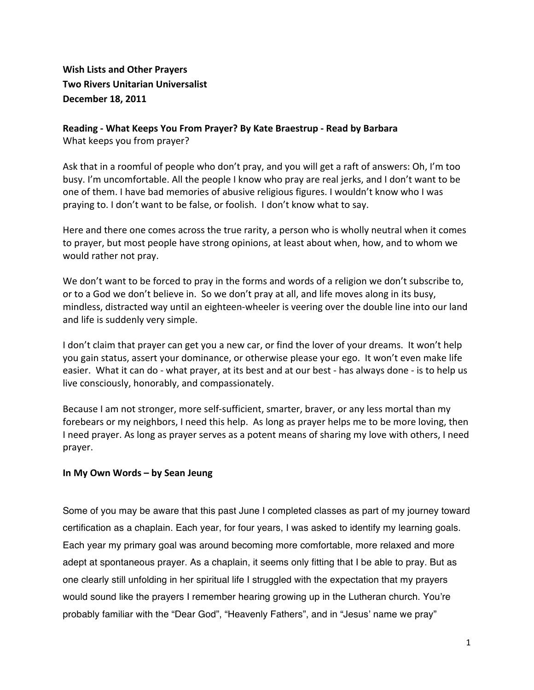## **Wish Lists and Other Prayers Two Rivers Unitarian Universalist December%18,%2011%**

## Reading - What Keeps You From Prayer? By Kate Braestrup - Read by Barbara What keeps you from prayer?

Ask that in a roomful of people who don't pray, and you will get a raft of answers: Oh, I'm too busy. I'm uncomfortable. All the people I know who pray are real jerks, and I don't want to be one of them. I have bad memories of abusive religious figures. I wouldn't know who I was praying to. I don't want to be false, or foolish. I don't know what to say.

Here and there one comes across the true rarity, a person who is wholly neutral when it comes to prayer, but most people have strong opinions, at least about when, how, and to whom we would rather not pray.

We don't want to be forced to pray in the forms and words of a religion we don't subscribe to, or to a God we don't believe in. So we don't pray at all, and life moves along in its busy, mindless, distracted way until an eighteen-wheeler is veering over the double line into our land and life is suddenly very simple.

I don't claim that prayer can get you a new car, or find the lover of your dreams. It won't help you gain status, assert your dominance, or otherwise please your ego. It won't even make life easier. What it can do - what prayer, at its best and at our best - has always done - is to help us live consciously, honorably, and compassionately.

Because I am not stronger, more self-sufficient, smarter, braver, or any less mortal than my forebears or my neighbors, I need this help. As long as prayer helps me to be more loving, then I need prayer. As long as prayer serves as a potent means of sharing my love with others, I need prayer.

## In My Own Words – by Sean Jeung

Some of you may be aware that this past June I completed classes as part of my journey toward certification as a chaplain. Each year, for four years, I was asked to identify my learning goals. Each year my primary goal was around becoming more comfortable, more relaxed and more adept at spontaneous prayer. As a chaplain, it seems only fitting that I be able to pray. But as one clearly still unfolding in her spiritual life I struggled with the expectation that my prayers would sound like the prayers I remember hearing growing up in the Lutheran church. You're probably familiar with the "Dear God", "Heavenly Fathers", and in "Jesus' name we pray"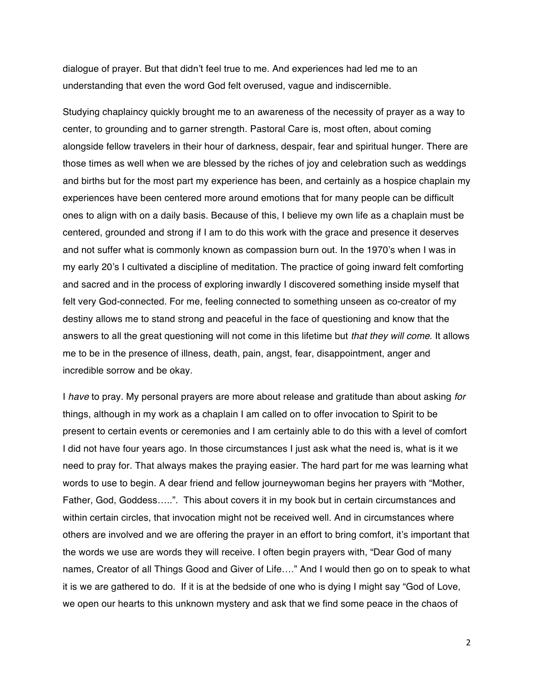dialogue of prayer. But that didn't feel true to me. And experiences had led me to an understanding that even the word God felt overused, vague and indiscernible.

Studying chaplaincy quickly brought me to an awareness of the necessity of prayer as a way to center, to grounding and to garner strength. Pastoral Care is, most often, about coming alongside fellow travelers in their hour of darkness, despair, fear and spiritual hunger. There are those times as well when we are blessed by the riches of joy and celebration such as weddings and births but for the most part my experience has been, and certainly as a hospice chaplain my experiences have been centered more around emotions that for many people can be difficult ones to align with on a daily basis. Because of this, I believe my own life as a chaplain must be centered, grounded and strong if I am to do this work with the grace and presence it deserves and not suffer what is commonly known as compassion burn out. In the 1970's when I was in my early 20's I cultivated a discipline of meditation. The practice of going inward felt comforting and sacred and in the process of exploring inwardly I discovered something inside myself that felt very God-connected. For me, feeling connected to something unseen as co-creator of my destiny allows me to stand strong and peaceful in the face of questioning and know that the answers to all the great questioning will not come in this lifetime but *that they will come*. It allows me to be in the presence of illness, death, pain, angst, fear, disappointment, anger and incredible sorrow and be okay.

I *have* to pray. My personal prayers are more about release and gratitude than about asking *for* things, although in my work as a chaplain I am called on to offer invocation to Spirit to be present to certain events or ceremonies and I am certainly able to do this with a level of comfort I did not have four years ago. In those circumstances I just ask what the need is, what is it we need to pray for. That always makes the praying easier. The hard part for me was learning what words to use to begin. A dear friend and fellow journeywoman begins her prayers with "Mother, Father, God, Goddess…..". This about covers it in my book but in certain circumstances and within certain circles, that invocation might not be received well. And in circumstances where others are involved and we are offering the prayer in an effort to bring comfort, it's important that the words we use are words they will receive. I often begin prayers with, "Dear God of many names, Creator of all Things Good and Giver of Life…." And I would then go on to speak to what it is we are gathered to do. If it is at the bedside of one who is dying I might say "God of Love, we open our hearts to this unknown mystery and ask that we find some peace in the chaos of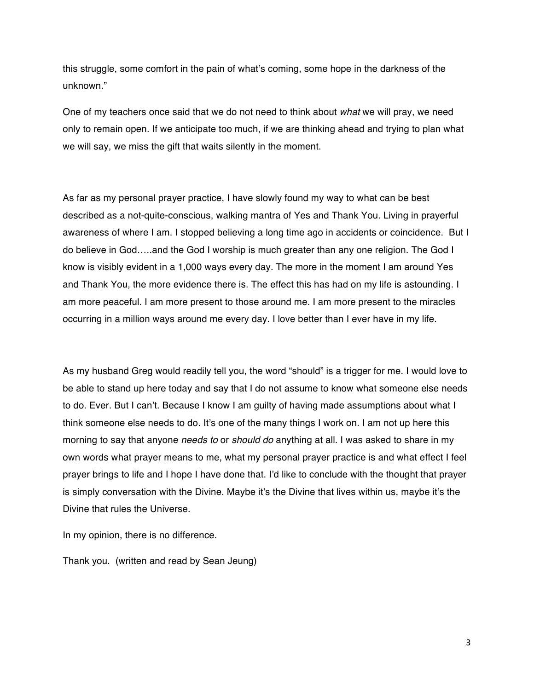this struggle, some comfort in the pain of what's coming, some hope in the darkness of the unknown."

One of my teachers once said that we do not need to think about *what* we will pray, we need only to remain open. If we anticipate too much, if we are thinking ahead and trying to plan what we will say, we miss the gift that waits silently in the moment.

As far as my personal prayer practice, I have slowly found my way to what can be best described as a not-quite-conscious, walking mantra of Yes and Thank You. Living in prayerful awareness of where I am. I stopped believing a long time ago in accidents or coincidence. But I do believe in God…..and the God I worship is much greater than any one religion. The God I know is visibly evident in a 1,000 ways every day. The more in the moment I am around Yes and Thank You, the more evidence there is. The effect this has had on my life is astounding. I am more peaceful. I am more present to those around me. I am more present to the miracles occurring in a million ways around me every day. I love better than I ever have in my life.

As my husband Greg would readily tell you, the word "should" is a trigger for me. I would love to be able to stand up here today and say that I do not assume to know what someone else needs to do. Ever. But I can't. Because I know I am guilty of having made assumptions about what I think someone else needs to do. It's one of the many things I work on. I am not up here this morning to say that anyone *needs to* or *should do* anything at all. I was asked to share in my own words what prayer means to me, what my personal prayer practice is and what effect I feel prayer brings to life and I hope I have done that. I'd like to conclude with the thought that prayer is simply conversation with the Divine. Maybe it's the Divine that lives within us, maybe it's the Divine that rules the Universe.

In my opinion, there is no difference.

Thank you. (written and read by Sean Jeung)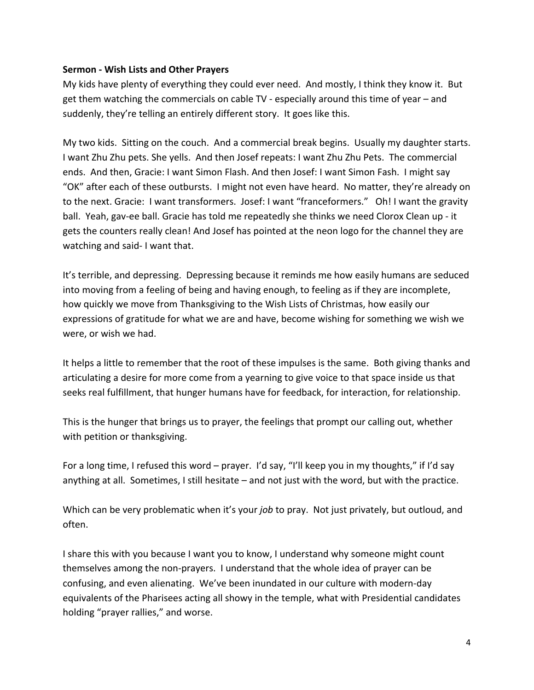## **Sermon - Wish Lists and Other Prayers**

My kids have plenty of everything they could ever need. And mostly, I think they know it. But get them watching the commercials on cable TV - especially around this time of year – and suddenly, they're telling an entirely different story. It goes like this.

My two kids. Sitting on the couch. And a commercial break begins. Usually my daughter starts. I want Zhu Zhu pets. She yells. And then Josef repeats: I want Zhu Zhu Pets. The commercial ends. And then, Gracie: I want Simon Flash. And then Josef: I want Simon Fash. I might say "OK" after each of these outbursts. I might not even have heard. No matter, they're already on to the next. Gracie: I want transformers. Josef: I want "franceformers." Oh! I want the gravity ball. Yeah, gav-ee ball. Gracie has told me repeatedly she thinks we need Clorox Clean up - it gets the counters really clean! And Josef has pointed at the neon logo for the channel they are watching and said-I want that.

It's terrible, and depressing. Depressing because it reminds me how easily humans are seduced into moving from a feeling of being and having enough, to feeling as if they are incomplete, how quickly we move from Thanksgiving to the Wish Lists of Christmas, how easily our expressions of gratitude for what we are and have, become wishing for something we wish we were, or wish we had.

It helps a little to remember that the root of these impulses is the same. Both giving thanks and articulating a desire for more come from a yearning to give voice to that space inside us that seeks real fulfillment, that hunger humans have for feedback, for interaction, for relationship.

This is the hunger that brings us to prayer, the feelings that prompt our calling out, whether with petition or thanksgiving.

For a long time, I refused this word – prayer. I'd say, "I'll keep you in my thoughts," if I'd say anything at all. Sometimes, I still hesitate – and not just with the word, but with the practice.

Which can be very problematic when it's your *job* to pray. Not just privately, but outloud, and often.

I share this with you because I want you to know, I understand why someone might count themselves among the non-prayers. I understand that the whole idea of prayer can be confusing, and even alienating. We've been inundated in our culture with modern-day equivalents of the Pharisees acting all showy in the temple, what with Presidential candidates holding "prayer rallies," and worse.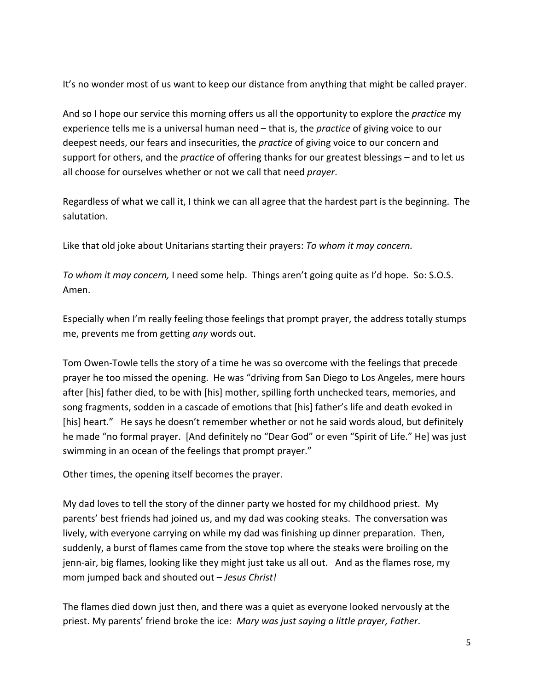It's no wonder most of us want to keep our distance from anything that might be called prayer.

And so I hope our service this morning offers us all the opportunity to explore the *practice* my experience tells me is a universal human need – that is, the *practice* of giving voice to our deepest needs, our fears and insecurities, the *practice* of giving voice to our concern and support for others, and the *practice* of offering thanks for our greatest blessings – and to let us all choose for ourselves whether or not we call that need *prayer*.

Regardless of what we call it, I think we can all agree that the hardest part is the beginning. The salutation.

Like that old joke about Unitarians starting their prayers: *To whom it may concern.* 

*To-whom-it-may-concern,* I need some help. Things aren't going quite as I'd hope. So: S.O.S. Amen.!!

Especially when I'm really feeling those feelings that prompt prayer, the address totally stumps me, prevents me from getting *any* words out.

Tom Owen-Towle tells the story of a time he was so overcome with the feelings that precede prayer he too missed the opening. He was "driving from San Diego to Los Angeles, mere hours after [his] father died, to be with [his] mother, spilling forth unchecked tears, memories, and song fragments, sodden in a cascade of emotions that [his] father's life and death evoked in [his] heart." He says he doesn't remember whether or not he said words aloud, but definitely he made "no formal prayer. [And definitely no "Dear God" or even "Spirit of Life." He] was just swimming in an ocean of the feelings that prompt prayer."

Other times, the opening itself becomes the prayer.

My dad loves to tell the story of the dinner party we hosted for my childhood priest. My parents' best friends had joined us, and my dad was cooking steaks. The conversation was lively, with everyone carrying on while my dad was finishing up dinner preparation. Then, suddenly, a burst of flames came from the stove top where the steaks were broiling on the jenn-air, big flames, looking like they might just take us all out. And as the flames rose, my mom jumped back and shouted out – Jesus Christ!

The flames died down just then, and there was a quiet as everyone looked nervously at the priest. My parents' friend broke the ice: Mary was just saying a little prayer, Father.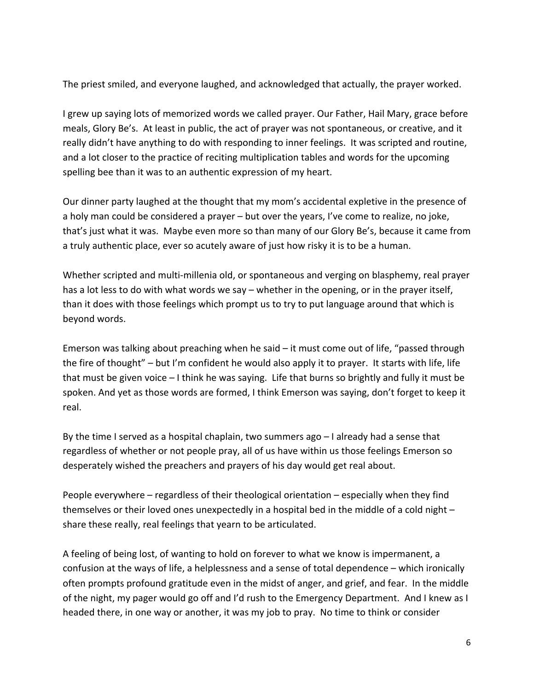The priest smiled, and everyone laughed, and acknowledged that actually, the prayer worked.

I grew up saying lots of memorized words we called prayer. Our Father, Hail Mary, grace before meals, Glory Be's. At least in public, the act of prayer was not spontaneous, or creative, and it really didn't have anything to do with responding to inner feelings. It was scripted and routine, and a lot closer to the practice of reciting multiplication tables and words for the upcoming spelling bee than it was to an authentic expression of my heart.

Our dinner party laughed at the thought that my mom's accidental expletive in the presence of a holy man could be considered a prayer – but over the years, I've come to realize, no joke, that's just what it was. Maybe even more so than many of our Glory Be's, because it came from a truly authentic place, ever so acutely aware of just how risky it is to be a human.

Whether scripted and multi-millenia old, or spontaneous and verging on blasphemy, real prayer has a lot less to do with what words we say – whether in the opening, or in the prayer itself, than it does with those feelings which prompt us to try to put language around that which is beyond words.

Emerson was talking about preaching when he said  $-$  it must come out of life, "passed through the fire of thought" – but I'm confident he would also apply it to prayer. It starts with life, life that must be given voice – I think he was saying. Life that burns so brightly and fully it must be spoken. And yet as those words are formed, I think Emerson was saying, don't forget to keep it real.

By the time I served as a hospital chaplain, two summers ago  $-1$  already had a sense that regardless of whether or not people pray, all of us have within us those feelings Emerson so desperately wished the preachers and prayers of his day would get real about.

People everywhere – regardless of their theological orientation – especially when they find themselves or their loved ones unexpectedly in a hospital bed in the middle of a cold night  $$ share these really, real feelings that yearn to be articulated.

A feeling of being lost, of wanting to hold on forever to what we know is impermanent, a confusion at the ways of life, a helplessness and a sense of total dependence – which ironically often prompts profound gratitude even in the midst of anger, and grief, and fear. In the middle of the night, my pager would go off and I'd rush to the Emergency Department. And I knew as I headed there, in one way or another, it was my job to pray. No time to think or consider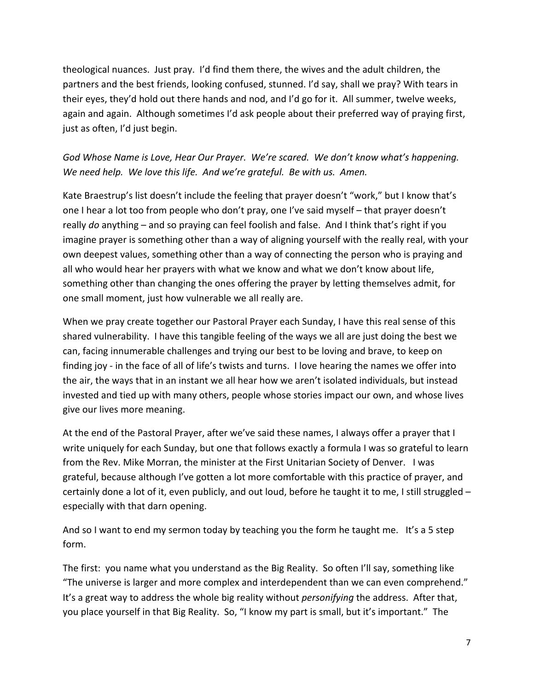theological nuances. Just pray. I'd find them there, the wives and the adult children, the partners and the best friends, looking confused, stunned. I'd say, shall we pray? With tears in their eyes, they'd hold out there hands and nod, and I'd go for it. All summer, twelve weeks, again and again. Although sometimes I'd ask people about their preferred way of praying first, just as often, I'd just begin.

God Whose Name is Love, Hear Our Prayer. We're scared. We don't know what's happening. *We-need-help.* We-love this life. And we're grateful. Be with us. Amen.

Kate Braestrup's list doesn't include the feeling that prayer doesn't "work," but I know that's one I hear a lot too from people who don't pray, one I've said myself – that prayer doesn't really *do* anything – and so praying can feel foolish and false. And I think that's right if you imagine prayer is something other than a way of aligning yourself with the really real, with your own deepest values, something other than a way of connecting the person who is praying and all who would hear her prayers with what we know and what we don't know about life, something other than changing the ones offering the prayer by letting themselves admit, for one small moment, just how vulnerable we all really are.

When we pray create together our Pastoral Prayer each Sunday, I have this real sense of this shared vulnerability. I have this tangible feeling of the ways we all are just doing the best we can, facing innumerable challenges and trying our best to be loving and brave, to keep on finding joy - in the face of all of life's twists and turns. I love hearing the names we offer into the air, the ways that in an instant we all hear how we aren't isolated individuals, but instead invested and tied up with many others, people whose stories impact our own, and whose lives give our lives more meaning.

At the end of the Pastoral Prayer, after we've said these names, I always offer a prayer that I write uniquely for each Sunday, but one that follows exactly a formula I was so grateful to learn from the Rev. Mike Morran, the minister at the First Unitarian Society of Denver. I was grateful, because although I've gotten a lot more comfortable with this practice of prayer, and certainly done a lot of it, even publicly, and out loud, before he taught it to me, I still struggled – especially with that darn opening.

And so I want to end my sermon today by teaching you the form he taught me. It's a 5 step form.

The first: you name what you understand as the Big Reality. So often I'll say, something like "The universe is larger and more complex and interdependent than we can even comprehend." It's a great way to address the whole big reality without *personifying* the address. After that, you place yourself in that Big Reality. So, "I know my part is small, but it's important." The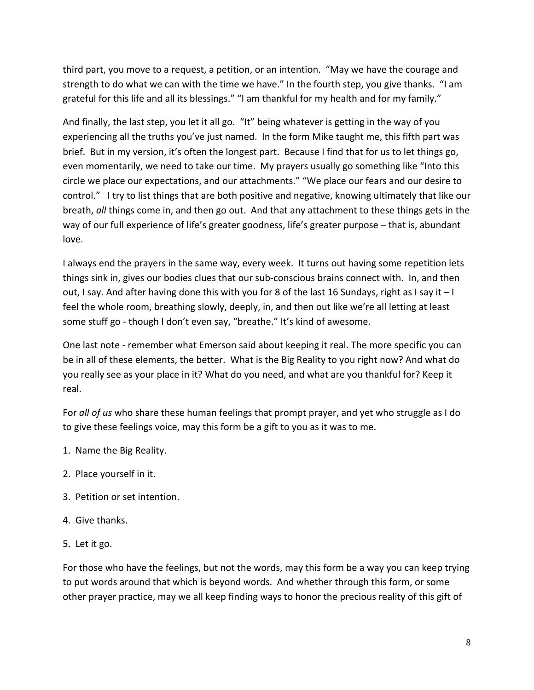third part, you move to a request, a petition, or an intention. "May we have the courage and strength to do what we can with the time we have." In the fourth step, you give thanks. "I am grateful for this life and all its blessings." "I am thankful for my health and for my family."

And finally, the last step, you let it all go. "It" being whatever is getting in the way of you experiencing all the truths you've just named. In the form Mike taught me, this fifth part was brief. But in my version, it's often the longest part. Because I find that for us to let things go, even momentarily, we need to take our time. My prayers usually go something like "Into this circle we place our expectations, and our attachments." "We place our fears and our desire to control." I try to list things that are both positive and negative, knowing ultimately that like our breath, all things come in, and then go out. And that any attachment to these things gets in the way of our full experience of life's greater goodness, life's greater purpose – that is, abundant love.

I always end the prayers in the same way, every week. It turns out having some repetition lets things sink in, gives our bodies clues that our sub-conscious brains connect with. In, and then out, I say. And after having done this with you for 8 of the last 16 Sundays, right as I say it  $-1$ feel the whole room, breathing slowly, deeply, in, and then out like we're all letting at least some stuff go - though I don't even say, "breathe." It's kind of awesome.

One last note - remember what Emerson said about keeping it real. The more specific you can be in all of these elements, the better. What is the Big Reality to you right now? And what do you really see as your place in it? What do you need, and what are you thankful for? Keep it real.

For *all of us* who share these human feelings that prompt prayer, and yet who struggle as I do to give these feelings voice, may this form be a gift to you as it was to me.

- 1. Name the Big Reality.
- 2. Place yourself in it.
- 3. Petition or set intention.
- 4. Give thanks.
- 5. Let it go.

For those who have the feelings, but not the words, may this form be a way you can keep trying to put words around that which is beyond words. And whether through this form, or some other prayer practice, may we all keep finding ways to honor the precious reality of this gift of